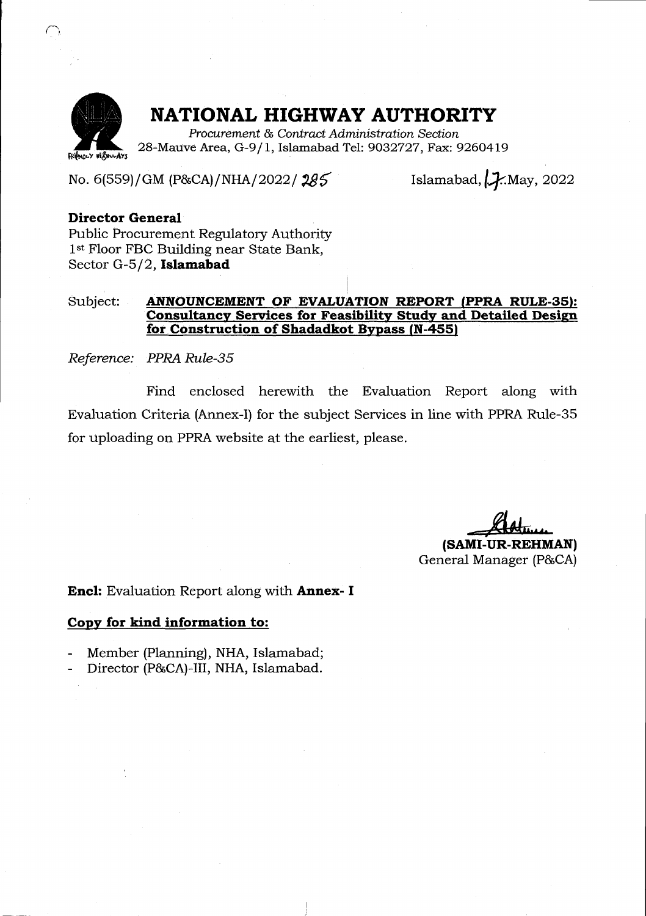

### NATIONAL HIGHWAY AUTHORITY

Procurement & Contract Administration Section 28-Mauve Area, G-9/1, Islamabad Tel: 9032727, Fax: 9260419

No. 6(559)/GM (P&CA)/NHA/2022/285

Islamabad,  $\cancel{1}$ . May, 2022

### Director General

Public Procurement Regulatory Authority 1<sup>st</sup> Floor FBC Building near State Bank, Sector G-5/2, Islamabad

### Subject: **ANNOUNCEMENT OF EVALUATION REPORT (PPRA RULE-35):** Consultancy Services for Feasibility Study and Detailed Design for Construction of Shadadkot Bypass (N-4551

Reference: PPRA Rule-3\

Find enclosed herewith the Evaluation Report along with Evaluation Criteria (Annex-I) for the subject Services in line with PPRA Rule-35 for uploading on PPRA website at the earliest, please.

(SAMI-UR-REHMAN) General Manager (P&CA)

**Encl:** Evaluation Report along with **Annex- I** 

#### Copy for kind information to:

- Member (Planning), NHA, Islamabad;
- Director (P&CA)-III, NHA, Islamabad.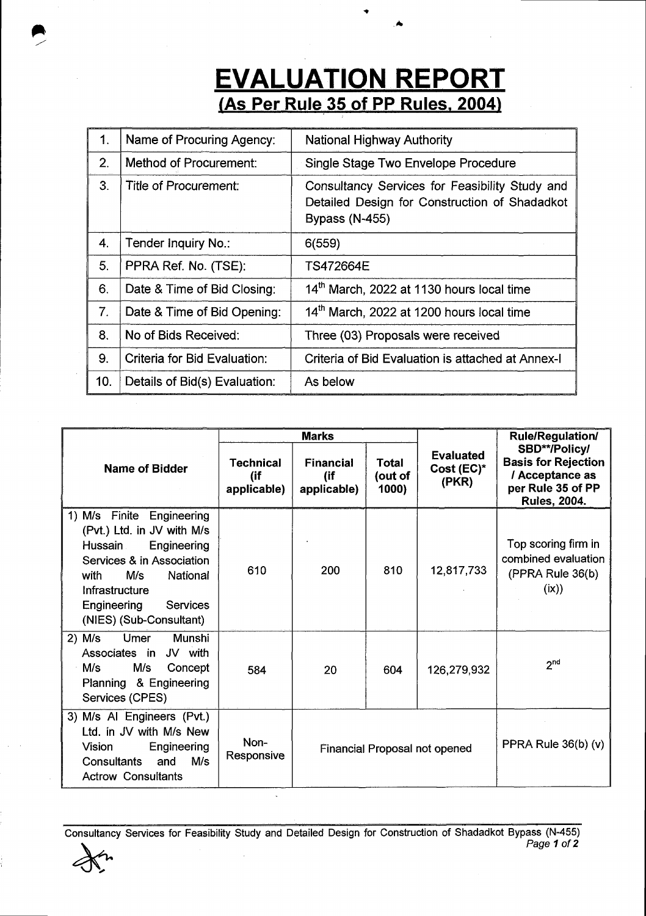### N REPORT (As Per Rule 35 of PP Rules. 2004)

| $\mathbf{1}$ . | Name of Procuring Agency:     | <b>National Highway Authority</b>                                                                                        |
|----------------|-------------------------------|--------------------------------------------------------------------------------------------------------------------------|
| 2.             | Method of Procurement:        | Single Stage Two Envelope Procedure                                                                                      |
| 3.             | Title of Procurement:         | Consultancy Services for Feasibility Study and<br>Detailed Design for Construction of Shadadkot<br><b>Bypass (N-455)</b> |
| 4.             | Tender Inquiry No.:           | 6(559)                                                                                                                   |
| 5.             | PPRA Ref. No. (TSE):          | TS472664E                                                                                                                |
| 6.             | Date & Time of Bid Closing:   | 14 <sup>th</sup> March, 2022 at 1130 hours local time                                                                    |
| 7.             | Date & Time of Bid Opening:   | 14th March, 2022 at 1200 hours local time                                                                                |
| 8.             | No of Bids Received:          | Three (03) Proposals were received                                                                                       |
| 9.             | Criteria for Bid Evaluation:  | Criteria of Bid Evaluation is attached at Annex-I                                                                        |
| 10.            | Details of Bid(s) Evaluation: | As below                                                                                                                 |

|                                                                                                                                                                                                                      |                                        | <b>Marks</b>                           |                           |                                            | <b>Rule/Regulation/</b><br>SBD**/Policy/<br><b>Basis for Rejection</b><br>/ Acceptance as<br>per Rule 35 of PP<br><b>Rules, 2004.</b> |  |
|----------------------------------------------------------------------------------------------------------------------------------------------------------------------------------------------------------------------|----------------------------------------|----------------------------------------|---------------------------|--------------------------------------------|---------------------------------------------------------------------------------------------------------------------------------------|--|
| <b>Name of Bidder</b>                                                                                                                                                                                                | <b>Technical</b><br>(if<br>applicable) | <b>Financial</b><br>(if<br>applicable) | Total<br>(out of<br>1000) | <b>Evaluated</b><br>$Cost (EC)^*$<br>(PKR) |                                                                                                                                       |  |
| M/s Finite Engineering<br>1)<br>(Pvt.) Ltd. in JV with M/s<br>Hussain<br>Engineering<br>Services & in Association<br>M/s<br>National<br>with<br>Infrastructure<br>Engineering<br>Services<br>(NIES) (Sub-Consultant) | 610                                    | 200                                    | 810                       | 12,817,733                                 | Top scoring firm in<br>combined evaluation<br>(PPRA Rule 36(b)<br>(ix))                                                               |  |
| $2)$ M/s<br>Umer<br>Munshi<br>Associates in<br>JV with<br>M/s<br>M/s<br>Concept<br>Planning & Engineering<br>Services (CPES)                                                                                         | 584                                    | 20                                     | 604                       | 126,279,932                                | 2 <sup>nd</sup>                                                                                                                       |  |
| 3) M/s AI Engineers (Pvt.)<br>Ltd. in JV with M/s New<br>Non-<br>Vision<br>Engineering<br>Financial Proposal not opened<br>Responsive<br>Consultants and<br>M/s<br><b>Actrow Consultants</b>                         |                                        |                                        |                           |                                            | PPRA Rule 36(b) (v)                                                                                                                   |  |

Consultancy Services for Feasibility Study and Detailed Design for Construction of Shadadkot Bypass (N-455)<br>Page 1 of 2<br>M Page **1** of 2



I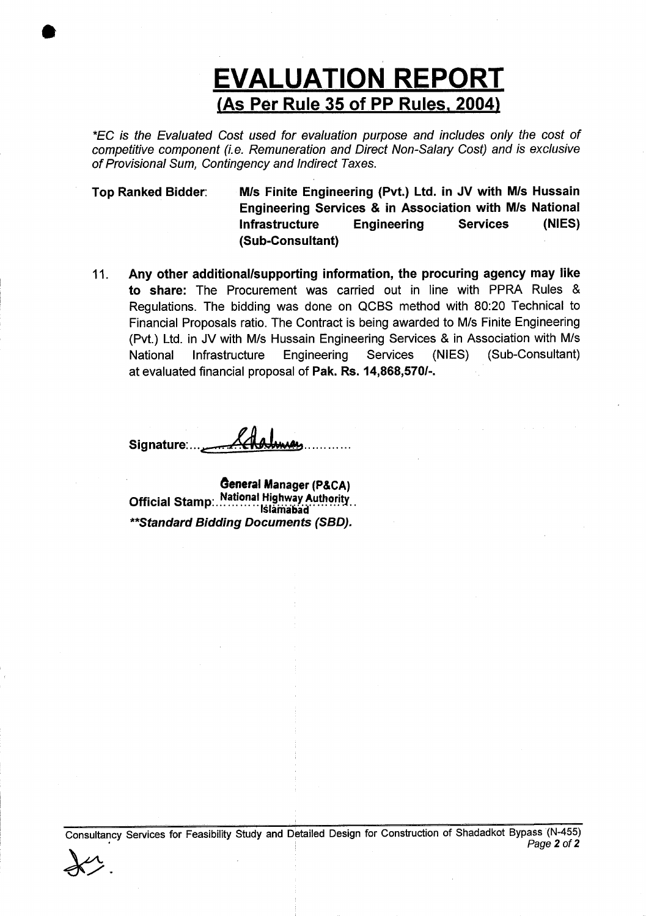## (As Per Rule 35 of PP Rules, 2004) **EVALUATION REPORT**

"EC is the Evaluated Cost used for evaluation purpose and includes only the cost of competitive component (i.e. Remuneration and Direct Non-Salary Cosf) and is exclusive of Provisional Sum, Contingency and lndirect Taxes.

Top Ranked Bidder: M/s Finite Engineering (Pvt.) Ltd. in JV with M/s Hussain Engineering Seruices & in Association with M/s National Infrastructure Engineering (Sub-Gonsultant) Services (NIES)

11. Any other additional/supporting information, the procuring agency may like to share: The Procurement was carried out in line with PPRA Rules & Regulations. The bidding was done on QCBS method with 80:20 Technical to Financial Proposals ratio. The Contract is being awarded to M/s Finite Engineering (Pvt.) Ltd. in JV with M/s Hussain Engineering Services & in Association with M/s National Infrastructure Engineering Services (NIES) (Sub-Consultant) at evaluated financial proposal of Pak. Rs. 14,868,5701-.

Signature:...

I

General Manager (p&CA) Official Stamp: National Highway Authority... \*\*Standard Bidding Documents (SBD).

Corsuitancy Services for Feasibility Study and Detaited Design for Construction of Shadadkot Bypass (N-455) Page 2 of 2  $\chi$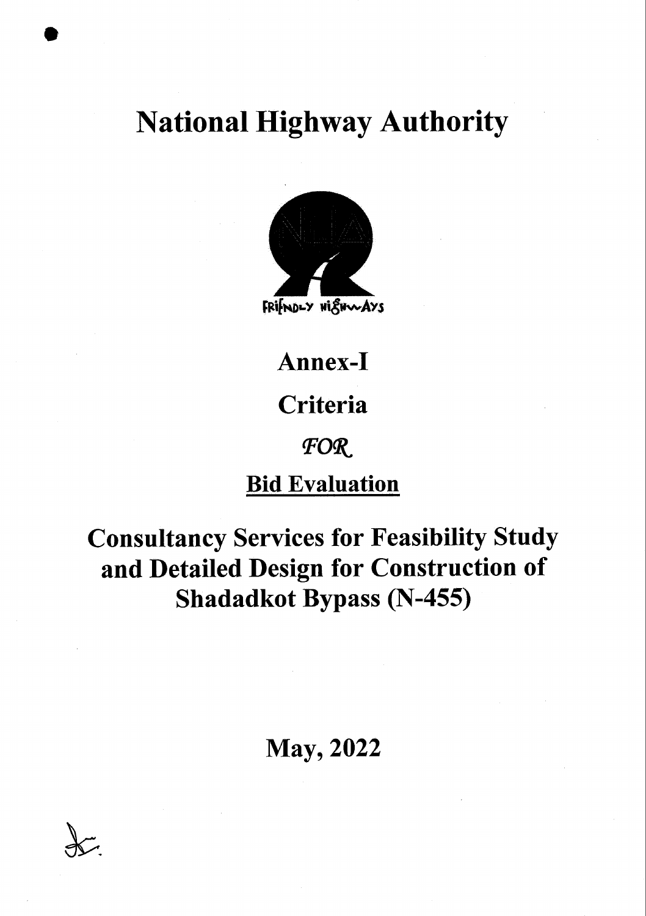# **National Highway Authority**



Annex-I

## Criteria

### FOR

## **Bid Evaluation**

## **Consultancy Services for Feasibility Study** and Detailed Design for Construction of **Shadadkot Bypass (N-455)**

## **May, 2022**

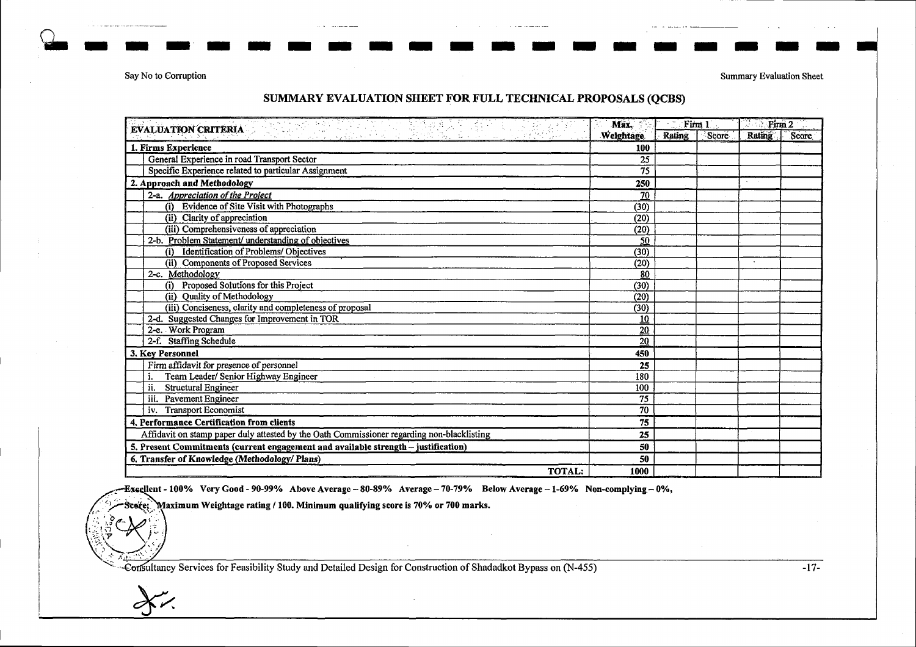Say No to Corruption

**Summary Evaluation Sheet** 

#### SUMMARY EVALUATION SHEET FOR FULL TECHNICAL PROPOSALS (QCBS)

| <u>e de la capital de la propincia de la propincia de la capital de la capital de la capital de la capital de la</u><br>EVALUATION CRITERIA | 31<br>Max.                    | Firm 1 |  | Firm 2        |       |
|---------------------------------------------------------------------------------------------------------------------------------------------|-------------------------------|--------|--|---------------|-------|
|                                                                                                                                             | Rating<br>Weightage.<br>Score |        |  | <b>Rating</b> | Score |
| 1. Firms Experience                                                                                                                         | 100                           |        |  |               |       |
| General Experience in road Transport Sector                                                                                                 | 25                            |        |  |               |       |
| Specific Experience related to particular Assignment                                                                                        | 75                            |        |  |               |       |
| 2. Approach and Methodology                                                                                                                 | 250                           |        |  |               |       |
| 2-a. Appreciation of the Project                                                                                                            | 70                            |        |  |               |       |
| (i) Evidence of Site Visit with Photographs                                                                                                 | (30)                          |        |  |               |       |
| (ii) Clarity of appreciation                                                                                                                | (20)                          |        |  |               |       |
| (iii) Comprehensiveness of appreciation                                                                                                     | (20)                          |        |  |               |       |
| 2-b. Problem Statement/ understanding of objectives                                                                                         | 50                            |        |  |               |       |
| <b>Identification of Problems/Objectives</b><br>(i)                                                                                         | (30)                          |        |  |               |       |
| (ii) Components of Proposed Services                                                                                                        | (20)                          |        |  |               |       |
| 2-c. Methodology                                                                                                                            | 80                            |        |  |               |       |
| (i) Proposed Solutions for this Project                                                                                                     | (30)                          |        |  |               |       |
| (ii) Quality of Methodology                                                                                                                 | (20)                          |        |  |               |       |
| (iii) Conciseness, clarity and completeness of proposal                                                                                     | (30)                          |        |  |               |       |
| 2-d. Suggested Changes for Improvement in TOR                                                                                               | 10                            |        |  |               |       |
| 2-e. Work Program                                                                                                                           | 20                            |        |  |               |       |
| 2-f. Staffing Schedule                                                                                                                      | 20                            |        |  |               |       |
| 3. Key Personnel                                                                                                                            | 450                           |        |  |               |       |
| Firm affidavit for presence of personnel                                                                                                    | 25                            |        |  |               |       |
| Team Leader/ Senior Highway Engineer                                                                                                        | 180                           |        |  |               |       |
| ii.<br><b>Structural Engineer</b>                                                                                                           | 100                           |        |  |               |       |
| iii. Pavement Engineer                                                                                                                      | 75                            |        |  |               |       |
| iv. Transport Economist                                                                                                                     | 70                            |        |  |               |       |
| 4. Performance Certification from clients                                                                                                   | 75                            |        |  |               |       |
| Affidavit on stamp paper duly attested by the Oath Commissioner regarding non-blacklisting                                                  |                               |        |  |               |       |
| 5. Present Commitments (current engagement and available strength - justification)                                                          | 50                            |        |  |               |       |
| 6. Transfer of Knowledge (Methodology/ Plans)                                                                                               |                               |        |  |               |       |
| <b>TOTAL:</b>                                                                                                                               | 1000                          |        |  |               |       |

Execllent - 100% Very Good - 90-99% Above Average - 80-89% Average - 70-79% Below Average - 1-69% Non-complying - 0%,

Maximum Weightage rating / 100. Minimum qualifying score is 70% or 700 marks. icore:

Consultancy Services for Feasibility Study and Detailed Design for Construction of Shadadkot Bypass on (N-455)